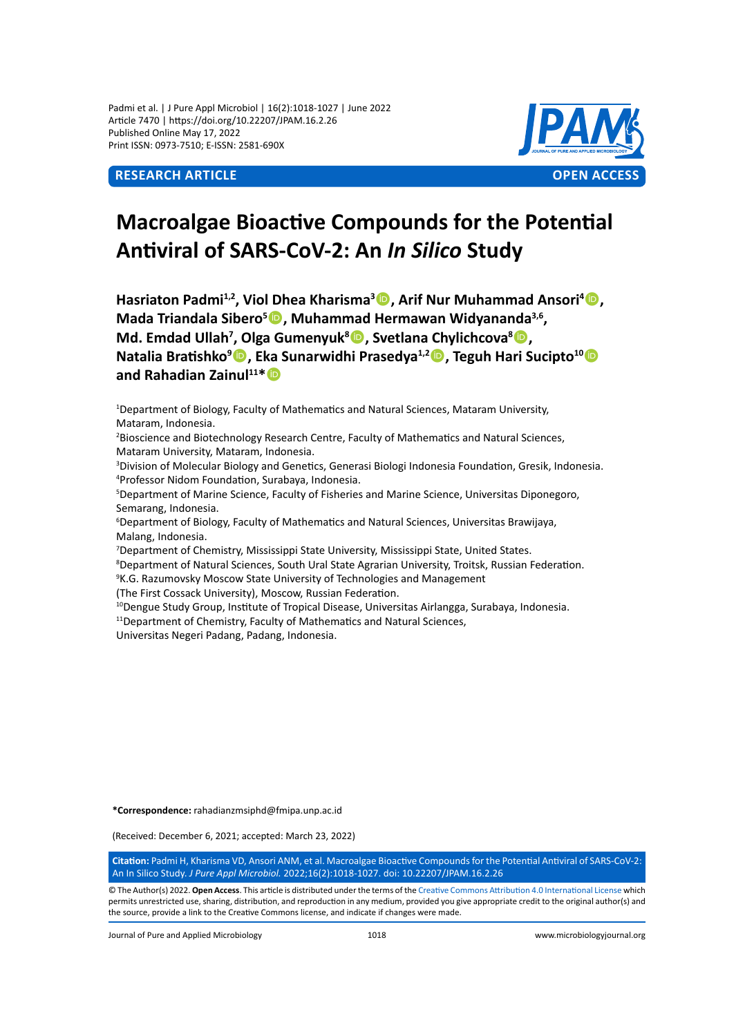Padmi et al. | J Pure Appl Microbiol | 16(2):1018-1027 | June 2022 Article 7470 | https://doi.org/10.22207/JPAM.16.2.26 Published Online May 17, 2022 Print ISSN: 0973-7510; E-ISSN: 2581-690X



# **Macroalgae Bioactive Compounds for the Potential Antiviral of SARS-CoV-2: An** *In Silico* **Study**

Hasriaton Padmi<sup>1,2</sup>, Viol Dhea Kharisma<sup>3</sup> D, Arif Nur Muhammad Ansori<sup>4</sup> D, **Mada Triandala Sibero5 , Muhammad Hermawan Widyananda3,6, Md. Emdad Ullah<sup>7</sup> , Olga Gumenyuk<sup>8</sup> , Svetlana Chylichcova<sup>8</sup> , Natalia Bratishko<sup>9</sup> , Eka Sunarwidhi Prasedya1,2, Teguh Hari Sucipto<sup>10</sup> and Rahadian Zainul11\***

1 Department of Biology, Faculty of Mathematics and Natural Sciences, Mataram University, Mataram, Indonesia.

2 Bioscience and Biotechnology Research Centre, Faculty of Mathematics and Natural Sciences, Mataram University, Mataram, Indonesia.

3 Division of Molecular Biology and Genetics, Generasi Biologi Indonesia Foundation, Gresik, Indonesia. 4 Professor Nidom Foundation, Surabaya, Indonesia.

5 Department of Marine Science, Faculty of Fisheries and Marine Science, Universitas Diponegoro, Semarang, Indonesia.

6 Department of Biology, Faculty of Mathematics and Natural Sciences, Universitas Brawijaya, Malang, Indonesia.

7 Department of Chemistry, Mississippi State University, Mississippi State, United States.

8 Department of Natural Sciences, South Ural State Agrarian University, Troitsk, Russian Federation.

<sup>9</sup>K.G. Razumovsky Moscow State University of Technologies and Management

(The First Cossack University), Moscow, Russian Federation.

<sup>10</sup>Dengue Study Group, Institute of Tropical Disease, Universitas Airlangga, Surabaya, Indonesia.

<sup>11</sup>Department of Chemistry, Faculty of Mathematics and Natural Sciences,

Universitas Negeri Padang, Padang, Indonesia.

**\*Correspondence:** rahadianzmsiphd@fmipa.unp.ac.id

(Received: December 6, 2021; accepted: March 23, 2022)

**Citation:** Padmi H, Kharisma VD, Ansori ANM, et al. Macroalgae Bioactive Compounds for the Potential Antiviral of SARS-CoV-2: An In Silico Study. *J Pure Appl Microbiol.* 2022;16(2):1018-1027. doi: 10.22207/JPAM.16.2.26

© The Author(s) 2022. **Open Access**. This article is distributed under the terms of the [Creative Commons Attribution 4.0 International License](https://creativecommons.org/licenses/by/4.0/) which permits unrestricted use, sharing, distribution, and reproduction in any medium, provided you give appropriate credit to the original author(s) and the source, provide a link to the Creative Commons license, and indicate if changes were made.

Journal of Pure and Applied Microbiology 1018 www.microbiologyjournal.org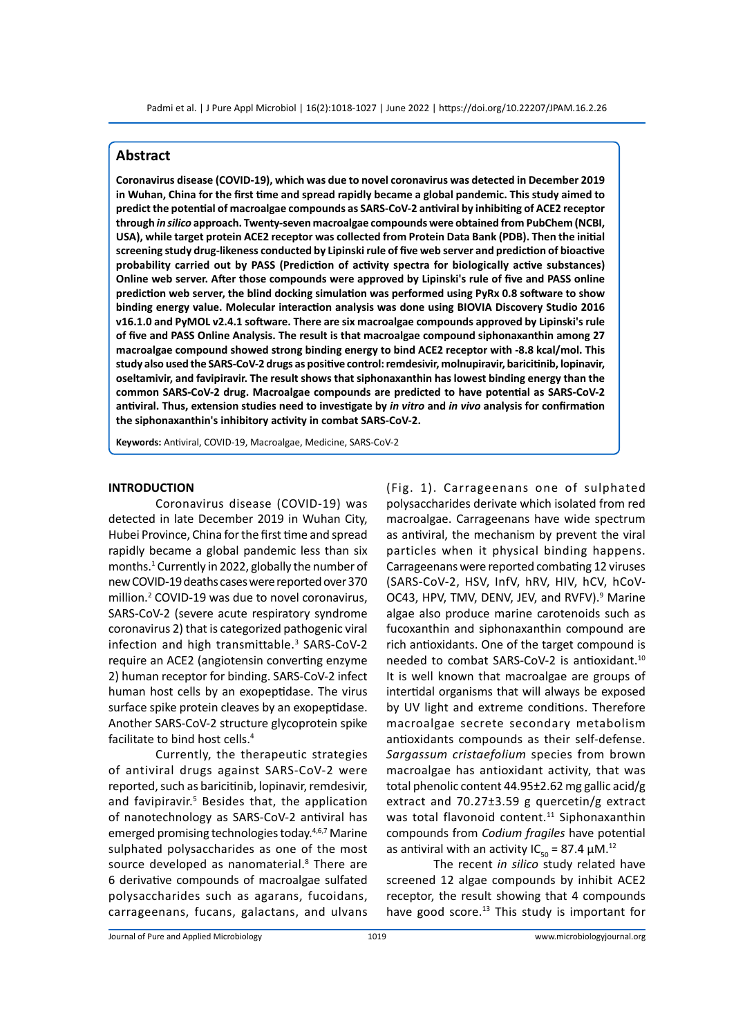# **Abstract**

**Coronavirus disease (COVID-19), which was due to novel coronavirus was detected in December 2019 in Wuhan, China for the first time and spread rapidly became a global pandemic. This study aimed to predict the potential of macroalgae compounds as SARS-CoV-2 antiviral by inhibiting of ACE2 receptor through** *in silico* **approach. Twenty-seven macroalgae compounds were obtained from PubChem (NCBI, USA), while target protein ACE2 receptor was collected from Protein Data Bank (PDB). Then the initial screening study drug-likeness conducted by Lipinski rule of five web server and prediction of bioactive probability carried out by PASS (Prediction of activity spectra for biologically active substances) Online web server. After those compounds were approved by Lipinski's rule of five and PASS online prediction web server, the blind docking simulation was performed using PyRx 0.8 software to show binding energy value. Molecular interaction analysis was done using BIOVIA Discovery Studio 2016 v16.1.0 and PyMOL v2.4.1 software. There are six macroalgae compounds approved by Lipinski's rule of five and PASS Online Analysis. The result is that macroalgae compound siphonaxanthin among 27 macroalgae compound showed strong binding energy to bind ACE2 receptor with -8.8 kcal/mol. This study also used the SARS-CoV-2 drugs as positive control: remdesivir, molnupiravir, baricitinib, lopinavir, oseltamivir, and favipiravir. The result shows that siphonaxanthin has lowest binding energy than the common SARS-CoV-2 drug. Macroalgae compounds are predicted to have potential as SARS-CoV-2 antiviral. Thus, extension studies need to investigate by** *in vitro* **and** *in vivo* **analysis for confirmation the siphonaxanthin's inhibitory activity in combat SARS-CoV-2.**

**Keywords:** Antiviral, COVID-19, Macroalgae, Medicine, SARS-CoV-2

# **INTRODUCTION**

Coronavirus disease (COVID-19) was detected in late December 2019 in Wuhan City, Hubei Province, China for the first time and spread rapidly became a global pandemic less than six months.<sup>1</sup> Currently in 2022, globally the number of new COVID-19 deaths cases were reported over 370 million.2 COVID-19 was due to novel coronavirus, SARS-CoV-2 (severe acute respiratory syndrome coronavirus 2) that is categorized pathogenic viral infection and high transmittable.<sup>3</sup> SARS-CoV-2 require an ACE2 (angiotensin converting enzyme 2) human receptor for binding. SARS-CoV-2 infect human host cells by an exopeptidase. The virus surface spike protein cleaves by an exopeptidase. Another SARS-CoV-2 structure glycoprotein spike facilitate to bind host cells.<sup>4</sup>

Currently, the therapeutic strategies of antiviral drugs against SARS-CoV-2 were reported, such as baricitinib, lopinavir, remdesivir, and favipiravir.<sup>5</sup> Besides that, the application of nanotechnology as SARS-CoV-2 antiviral has emerged promising technologies today.<sup>4,6,7</sup> Marine sulphated polysaccharides as one of the most source developed as nanomaterial.<sup>8</sup> There are 6 derivative compounds of macroalgae sulfated polysaccharides such as agarans, fucoidans, carrageenans, fucans, galactans, and ulvans

(Fig. 1). Carrageenans one of sulphated polysaccharides derivate which isolated from red macroalgae. Carrageenans have wide spectrum as antiviral, the mechanism by prevent the viral particles when it physical binding happens. Carrageenans were reported combating 12 viruses (SARS-CoV-2, HSV, InfV, hRV, HIV, hCV, hCoV-OC43, HPV, TMV, DENV, JEV, and RVFV).<sup>9</sup> Marine algae also produce marine carotenoids such as fucoxanthin and siphonaxanthin compound are rich antioxidants. One of the target compound is needed to combat SARS-CoV-2 is antioxidant.<sup>10</sup> It is well known that macroalgae are groups of intertidal organisms that will always be exposed by UV light and extreme conditions. Therefore macroalgae secrete secondary metabolism antioxidants compounds as their self-defense. *Sargassum cristaefolium* species from brown macroalgae has antioxidant activity, that was total phenolic content 44.95±2.62 mg gallic acid/g extract and 70.27±3.59 g quercetin/g extract was total flavonoid content.<sup>11</sup> Siphonaxanthin compounds from *Codium fragiles* have potential as antiviral with an activity IC<sub>50</sub> = 87.4  $\mu$ M.<sup>12</sup>

The recent *in silico* study related have screened 12 algae compounds by inhibit ACE2 receptor, the result showing that 4 compounds have good score.<sup>13</sup> This study is important for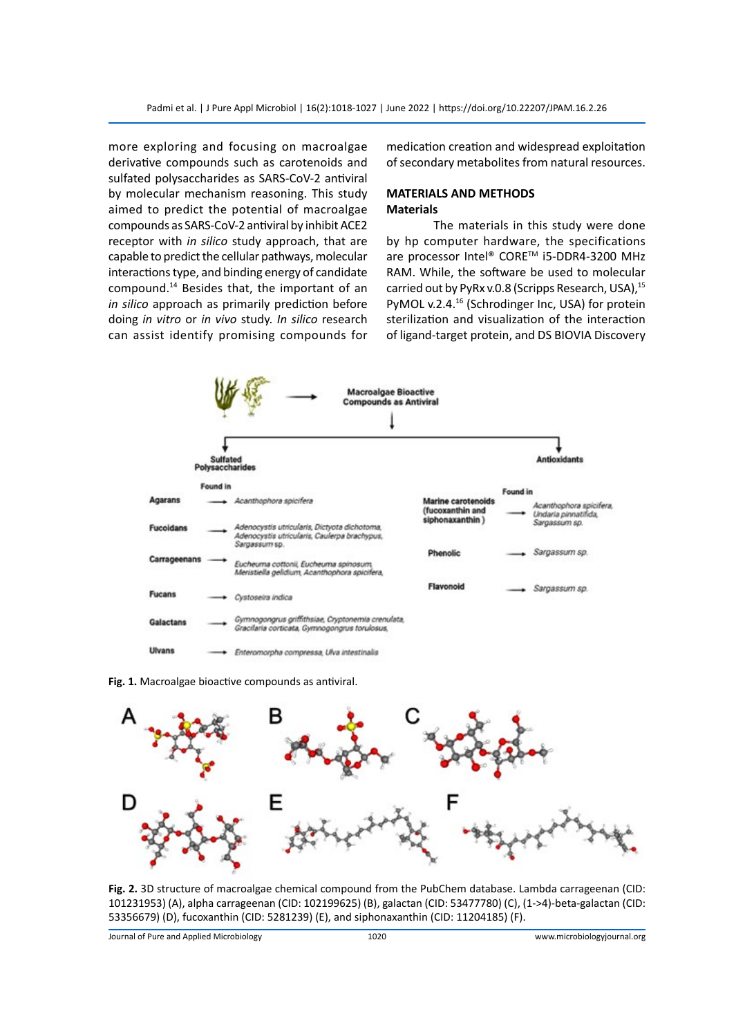more exploring and focusing on macroalgae derivative compounds such as carotenoids and sulfated polysaccharides as SARS-CoV-2 antiviral by molecular mechanism reasoning. This study aimed to predict the potential of macroalgae compounds as SARS-CoV-2 antiviral by inhibit ACE2 receptor with *in silico* study approach, that are capable to predict the cellular pathways, molecular interactions type, and binding energy of candidate compound.<sup>14</sup> Besides that, the important of an *in silico* approach as primarily prediction before doing *in vitro* or *in vivo* study. *In silico* research can assist identify promising compounds for medication creation and widespread exploitation of secondary metabolites from natural resources.

# **MATERIALS AND METHODS Materials**

The materials in this study were done by hp computer hardware, the specifications are processor Intel® CORE™ i5-DDR4-3200 MHz RAM. While, the software be used to molecular carried out by PyRx v.0.8 (Scripps Research, USA),<sup>15</sup> PyMOL v.2.4.<sup>16</sup> (Schrodinger Inc, USA) for protein sterilization and visualization of the interaction of ligand-target protein, and DS BIOVIA Discovery



**Fig. 1.** Macroalgae bioactive compounds as antiviral.



**Fig. 2.** 3D structure of macroalgae chemical compound from the PubChem database. Lambda carrageenan (CID: 101231953) (A), alpha carrageenan (CID: 102199625) (B), galactan (CID: 53477780) (C), (1->4)-beta-galactan (CID: 53356679) (D), fucoxanthin (CID: 5281239) (E), and siphonaxanthin (CID: 11204185) (F).

Journal of Pure and Applied Microbiology 1020 www.microbiologyjournal.org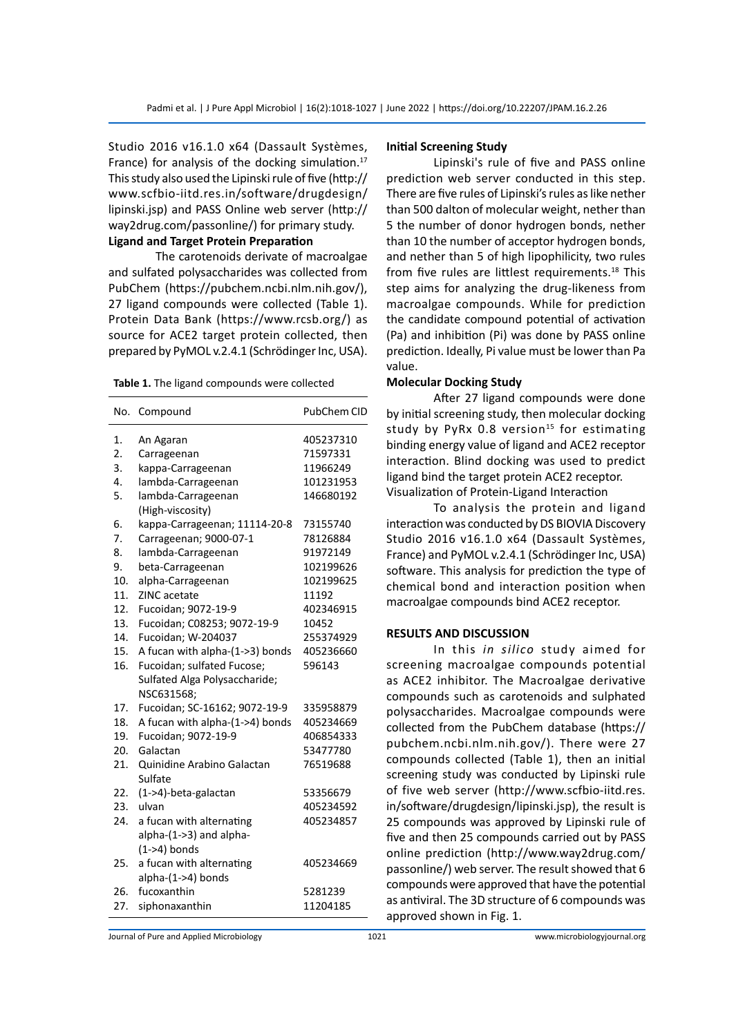Studio 2016 v16.1.0 x64 (Dassault Systèmes, France) for analysis of the docking simulation.<sup>17</sup> This study also used the Lipinski rule of five (http:// www.scfbio-iitd.res.in/software/drugdesign/ lipinski.jsp) and PASS Online web server (http:// way2drug.com/passonline/) for primary study.

**Ligand and Target Protein Preparation**

The carotenoids derivate of macroalgae and sulfated polysaccharides was collected from PubChem (https://pubchem.ncbi.nlm.nih.gov/), 27 ligand compounds were collected (Table 1). Protein Data Bank (https://www.rcsb.org/) as source for ACE2 target protein collected, then prepared by PyMOL v.2.4.1 (Schrödinger Inc, USA).

**Table 1.** The ligand compounds were collected

| No. | Compound                        | PubChem CID |
|-----|---------------------------------|-------------|
| 1.  | An Agaran                       | 405237310   |
| 2.  | Carrageenan                     | 71597331    |
| 3.  | kappa-Carrageenan               | 11966249    |
| 4.  | lambda-Carrageenan              | 101231953   |
| 5.  | lambda-Carrageenan              | 146680192   |
|     | (High-viscosity)                |             |
| 6.  | kappa-Carrageenan; 11114-20-8   | 73155740    |
| 7.  | Carrageenan; 9000-07-1          | 78126884    |
| 8.  | lambda-Carrageenan              | 91972149    |
| 9.  | beta-Carrageenan                | 102199626   |
| 10. | alpha-Carrageenan               | 102199625   |
| 11. | ZINC acetate                    | 11192       |
| 12. | Fucoidan; 9072-19-9             | 402346915   |
| 13. | Fucoidan; C08253; 9072-19-9     | 10452       |
| 14. | Fucoidan; W-204037              | 255374929   |
| 15. | A fucan with alpha-(1->3) bonds | 405236660   |
| 16. | Fucoidan; sulfated Fucose;      | 596143      |
|     | Sulfated Alga Polysaccharide;   |             |
|     | NSC631568;                      |             |
| 17. | Fucoidan; SC-16162; 9072-19-9   | 335958879   |
| 18. | A fucan with alpha-(1->4) bonds | 405234669   |
| 19. | Fucoidan; 9072-19-9             | 406854333   |
| 20. | Galactan                        | 53477780    |
| 21. | Quinidine Arabino Galactan      | 76519688    |
|     | Sulfate                         |             |
| 22. | (1->4)-beta-galactan            | 53356679    |
| 23. | ulvan                           | 405234592   |
| 24. | a fucan with alternating        | 405234857   |
|     | alpha-(1->3) and alpha-         |             |
|     | $(1->4)$ bonds                  |             |
| 25. | a fucan with alternating        | 405234669   |
|     | alpha-(1->4) bonds              |             |
| 26. | fucoxanthin                     | 5281239     |
| 27. | siphonaxanthin                  | 11204185    |

#### **Initial Screening Study**

Lipinski's rule of five and PASS online prediction web server conducted in this step. There are five rules of Lipinski's rules as like nether than 500 dalton of molecular weight, nether than 5 the number of donor hydrogen bonds, nether than 10 the number of acceptor hydrogen bonds, and nether than 5 of high lipophilicity, two rules from five rules are littlest requirements.<sup>18</sup> This step aims for analyzing the drug-likeness from macroalgae compounds. While for prediction the candidate compound potential of activation (Pa) and inhibition (Pi) was done by PASS online prediction. Ideally, Pi value must be lower than Pa value.

# **Molecular Docking Study**

After 27 ligand compounds were done by initial screening study, then molecular docking study by PyRx 0.8 version<sup>15</sup> for estimating binding energy value of ligand and ACE2 receptor interaction. Blind docking was used to predict ligand bind the target protein ACE2 receptor. Visualization of Protein-Ligand Interaction

To analysis the protein and ligand interaction was conducted by DS BIOVIA Discovery Studio 2016 v16.1.0 x64 (Dassault Systèmes, France) and PyMOL v.2.4.1 (Schrödinger Inc, USA) software. This analysis for prediction the type of chemical bond and interaction position when macroalgae compounds bind ACE2 receptor.

# **RESULTS AND DISCUSSION**

In this *in silico* study aimed for screening macroalgae compounds potential as ACE2 inhibitor. The Macroalgae derivative compounds such as carotenoids and sulphated polysaccharides. Macroalgae compounds were collected from the PubChem database (https:// pubchem.ncbi.nlm.nih.gov/). There were 27 compounds collected (Table 1), then an initial screening study was conducted by Lipinski rule of five web server (http://www.scfbio-iitd.res. in/software/drugdesign/lipinski.jsp), the result is 25 compounds was approved by Lipinski rule of five and then 25 compounds carried out by PASS online prediction (http://www.way2drug.com/ passonline/) web server. The result showed that 6 compounds were approved that have the potential as antiviral. The 3D structure of 6 compounds was approved shown in Fig. 1.

Journal of Pure and Applied Microbiology 1021 www.microbiologyjournal.org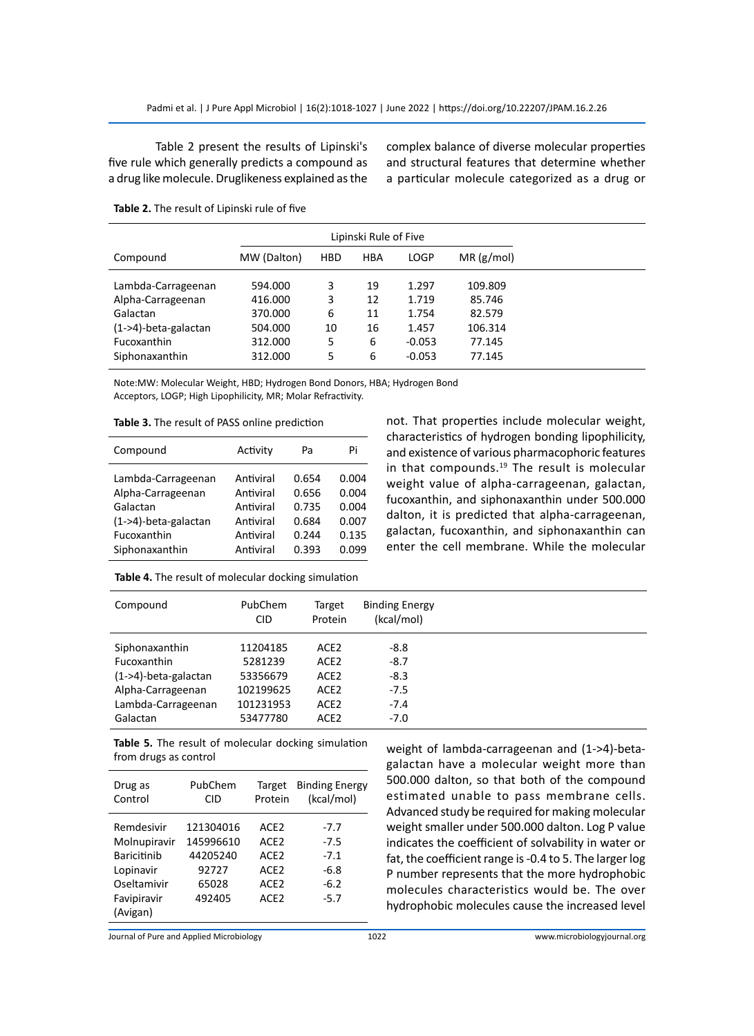Table 2 present the results of Lipinski's five rule which generally predicts a compound as a drug like molecule. Druglikeness explained as the

complex balance of diverse molecular properties and structural features that determine whether a particular molecule categorized as a drug or

|                         |             |            | Lipinski Rule of Five |             |           |  |
|-------------------------|-------------|------------|-----------------------|-------------|-----------|--|
| Compound                | MW (Dalton) | <b>HBD</b> | <b>HBA</b>            | <b>LOGP</b> | MR(g/mol) |  |
| Lambda-Carrageenan      | 594.000     | 3          | 19                    | 1.297       | 109.809   |  |
| Alpha-Carrageenan       | 416.000     | 3          | 12                    | 1.719       | 85.746    |  |
| Galactan                | 370.000     | 6          | 11                    | 1.754       | 82.579    |  |
| $(1->4)$ -beta-galactan | 504.000     | 10         | 16                    | 1.457       | 106.314   |  |
| Fucoxanthin             | 312.000     | 5          | 6                     | $-0.053$    | 77.145    |  |
| Siphonaxanthin          | 312.000     | 5          | 6                     | $-0.053$    | 77.145    |  |

**Table 2.** The result of Lipinski rule of five

Note:MW: Molecular Weight, HBD; Hydrogen Bond Donors, HBA; Hydrogen Bond Acceptors, LOGP; High Lipophilicity, MR; Molar Refractivity.

| Table 3. The result of PASS online prediction |  |  |  |  |
|-----------------------------------------------|--|--|--|--|
|-----------------------------------------------|--|--|--|--|

| Compound                                                                                                        | Activity<br>Pa                                                                                                                   | Pi                                                 |
|-----------------------------------------------------------------------------------------------------------------|----------------------------------------------------------------------------------------------------------------------------------|----------------------------------------------------|
| Lambda-Carrageenan<br>Alpha-Carrageenan<br>Galactan<br>$(1->4)$ -beta-galactan<br>Fucoxanthin<br>Siphonaxanthin | Antiviral<br>0.654<br>Antiviral<br>0.656<br>Antiviral<br>0.735<br>Antiviral<br>0.684<br>Antiviral<br>0.244<br>0.393<br>Antiviral | 0.004<br>0.004<br>0.004<br>0.007<br>0.135<br>0.099 |

not. That properties include molecular weight, characteristics of hydrogen bonding lipophilicity, and existence of various pharmacophoric features in that compounds.<sup>19</sup> The result is molecular weight value of alpha-carrageenan, galactan, fucoxanthin, and siphonaxanthin under 500.000 dalton, it is predicted that alpha-carrageenan, galactan, fucoxanthin, and siphonaxanthin can enter the cell membrane. While the molecular

| Table 4. The result of molecular docking simulation |  |
|-----------------------------------------------------|--|
|                                                     |  |

| Compound                | PubChem<br>CID. | Target<br>Protein | <b>Binding Energy</b><br>(kcal/mol) |  |
|-------------------------|-----------------|-------------------|-------------------------------------|--|
| Siphonaxanthin          | 11204185        | ACE2              | -8.8                                |  |
| Fucoxanthin             | 5281239         | ACE <sub>2</sub>  | $-8.7$                              |  |
| $(1->4)$ -beta-galactan | 53356679        | ACE <sub>2</sub>  | $-8.3$                              |  |
| Alpha-Carrageenan       | 102199625       | ACE <sub>2</sub>  | $-7.5$                              |  |
| Lambda-Carrageenan      | 101231953       | ACE <sub>2</sub>  | $-7.4$                              |  |
| Galactan                | 53477780        | ACE <sub>2</sub>  | $-7.0$                              |  |

**Table 5.** The result of molecular docking simulation from drugs as control

| Drug as<br>Control | PubChem<br><b>CID</b> | Target<br>Protein | <b>Binding Energy</b><br>(kcal/mol) |
|--------------------|-----------------------|-------------------|-------------------------------------|
| Remdesivir         | 121304016             | ACE <sub>2</sub>  | $-7.7$                              |
| Molnupiravir       | 145996610             | ACE <sub>2</sub>  | $-7.5$                              |
| <b>Baricitinib</b> | 44205240              | ACE <sub>2</sub>  | $-7.1$                              |
| Lopinavir          | 92727                 | ACE <sub>2</sub>  | $-6.8$                              |
| Oseltamivir        | 65028                 | ACE <sub>2</sub>  | $-6.2$                              |
| Favipiravir        | 492405                | ACE <sub>2</sub>  | $-5.7$                              |
| (Avigan)           |                       |                   |                                     |

weight of lambda-carrageenan and (1->4)-betagalactan have a molecular weight more than 500.000 dalton, so that both of the compound estimated unable to pass membrane cells. Advanced study be required for making molecular weight smaller under 500.000 dalton. Log P value indicates the coefficient of solvability in water or fat, the coefficient range is -0.4 to 5. The larger log P number represents that the more hydrophobic molecules characteristics would be. The over hydrophobic molecules cause the increased level

Journal of Pure and Applied Microbiology 1022 www.microbiologyjournal.org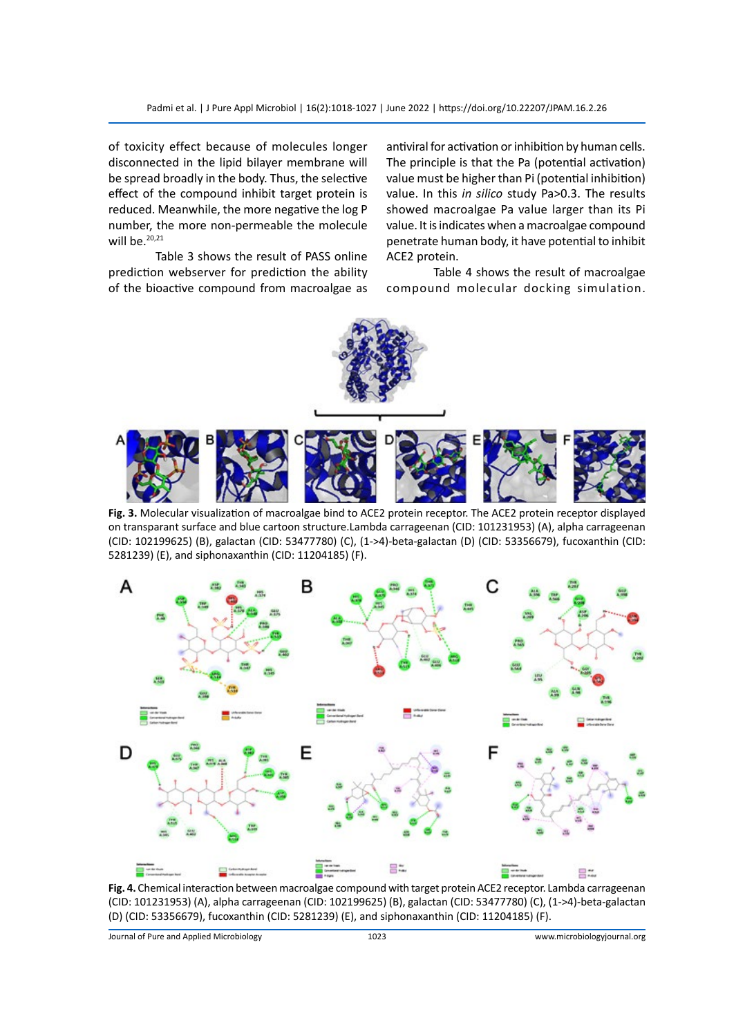Padmi et al. | J Pure Appl Microbiol | 16(2):1018-1027 | June 2022 | https://doi.org/10.22207/JPAM.16.2.26

of toxicity effect because of molecules longer disconnected in the lipid bilayer membrane will be spread broadly in the body. Thus, the selective effect of the compound inhibit target protein is reduced. Meanwhile, the more negative the log P number, the more non-permeable the molecule will be. $20,21$ 

Table 3 shows the result of PASS online prediction webserver for prediction the ability of the bioactive compound from macroalgae as antiviral for activation or inhibition by human cells. The principle is that the Pa (potential activation) value must be higher than Pi (potential inhibition) value. In this *in silico* study Pa>0.3. The results showed macroalgae Pa value larger than its Pi value. It is indicates when a macroalgae compound penetrate human body, it have potential to inhibit ACE2 protein.

Table 4 shows the result of macroalgae compound molecular docking simulation.



**Fig. 3.** Molecular visualization of macroalgae bind to ACE2 protein receptor. The ACE2 protein receptor displayed on transparant surface and blue cartoon structure.Lambda carrageenan (CID: 101231953) (A), alpha carrageenan (CID: 102199625) (B), galactan (CID: 53477780) (C), (1->4)-beta-galactan (D) (CID: 53356679), fucoxanthin (CID: 5281239) (E), and siphonaxanthin (CID: 11204185) (F).



**Fig. 4.** Chemical interaction between macroalgae compound with target protein ACE2 receptor. Lambda carrageenan (CID: 101231953) (A), alpha carrageenan (CID: 102199625) (B), galactan (CID: 53477780) (C), (1->4)-beta-galactan (D) (CID: 53356679), fucoxanthin (CID: 5281239) (E), and siphonaxanthin (CID: 11204185) (F).

Journal of Pure and Applied Microbiology 1023 www.microbiologyjournal.org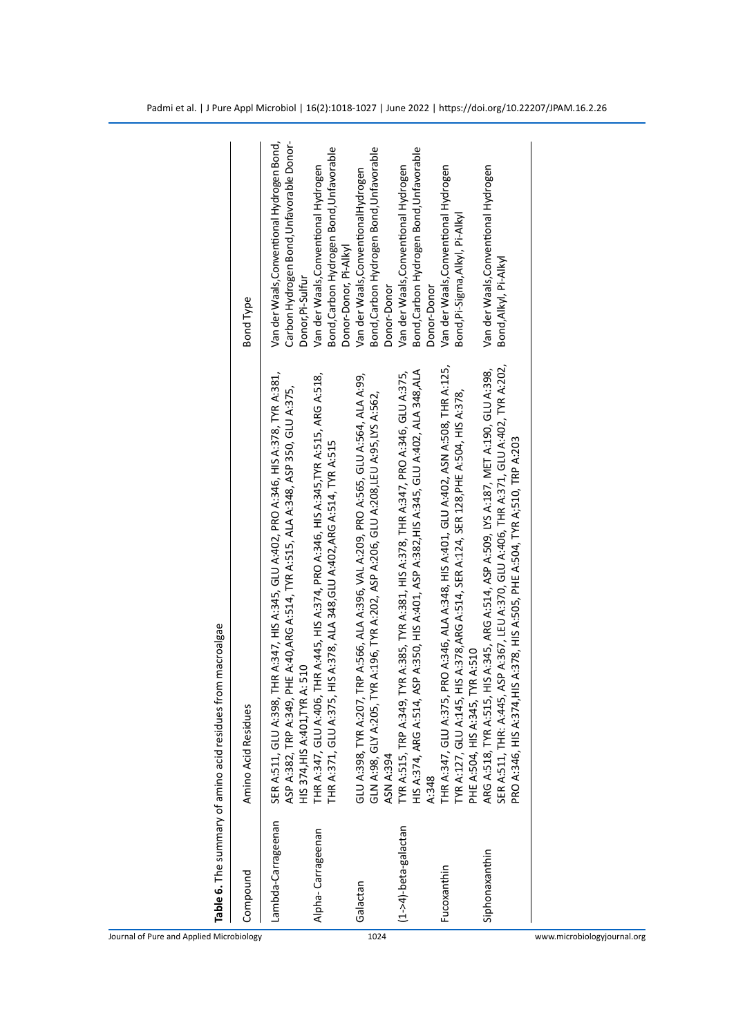| Compound                 | Amino Acid Residues                                                                                                                                                                                                                                               | <b>Bond Type</b>                                                                                           |
|--------------------------|-------------------------------------------------------------------------------------------------------------------------------------------------------------------------------------------------------------------------------------------------------------------|------------------------------------------------------------------------------------------------------------|
| Lambda-Carrageenan       | SER A:511, GLU A:398, THR A:347, HIS A:345, GLU A:402, PRO A:346, HIS A:378, TYR A:381,<br>349, PHE A:40,ARG A:514, TYR A:515, ALA A:348, ASP 350, GLU A:375,<br>HIS 374, HIS A: 401, TYR A: 510<br>ASP A:382, TRP A:                                             | Carbon Hydrogen Bond, Unfavorable Donor-<br>Van der Waals, Conventional Hydrogen Bond,<br>Donor, Pi-Sulfur |
| Alpha-Carrageenan        | THR A:347, GLU A:406, THR A:445, HIS A:374, PRO A:346, HIS A:345, TYR A:515, ARG A:518,<br>THR A:371, GLU A:375, HIS A:378, ALA 348, GLU A:402, ARG A:514, TYR A:515                                                                                              | Bond, Carbon Hydrogen Bond, Unfavorable<br>Van der Waals, Conventional Hydrogen<br>Donor-Donor, Pi-Alkyl   |
| Galactan                 | GLU A:398, TYR A:207, TRP A:566, ALA A:396, VAL A:209, PRO A:565, GLU A:564, ALA A:99,<br>GLN A:98, GLY A:205, TYR A:196, TYR A:202, ASP A:206, GLU A:208, LEU A:95, LYS A:562,<br><b>ASN A:394</b>                                                               | Bond, Carbon Hydrogen Bond, Unfavorable<br>Van der Waals, ConventionalHydrogen<br>Donor-Donor              |
| $(1 -24)$ -beta-galactan | HIS A:374, ARG A:514, ASP A:350, HIS A:401, ASP A:382,HIS A:345, GLU A:402, ALA 348,ALA<br>TYR A:515, TRP A:349, TYR A:385, TYR A:381, HIS A:378, THR A:347, PRO A:346, GLU A:375,<br>A:348                                                                       | Bond, Carbon Hydrogen Bond, Unfavorable<br>Van der Waals, Conventional Hydrogen<br>Donor-Donor             |
| Fucoxanthin              | THR A:347, GLU A:375, PRO A:346, ALA A:348, HIS A:401, GLU A:402, ASN A:508, THR A:125,<br>TYR A:127, GLU A:145, HIS A:378,ARG A:514, SER A:124, SER 128,PHE A:504, HIS A:378,<br>PHE A:504, HIS A:345, TYR A:510                                                 | Van der Waals, Conventional Hydrogen<br>Bond, Pi-Sigma, Alkyl, Pi-Alkyl                                    |
| Siphonaxanthin           | SER A:511, THR: A:445, ASP A:367, LEU A:370, GLU A:406, THR A:371, GLU A:402, TYR A:202,<br>ARG A:518, TYR A:515, HIS A:345, ARG A:514, ASP A:509, LYS A:187, MET A:190, GLU A:398,<br>PRO A:346, HIS A:374,HIS A:378, HIS A:505, PHE A:504, TYR A;510, TRP A:203 | Van der Waals, Conventional Hydrogen<br>Bond, Alkyl, Pi-Alkyl                                              |

Journal of Pure and Applied Microbiology 1024 www.microbiologyjournal.org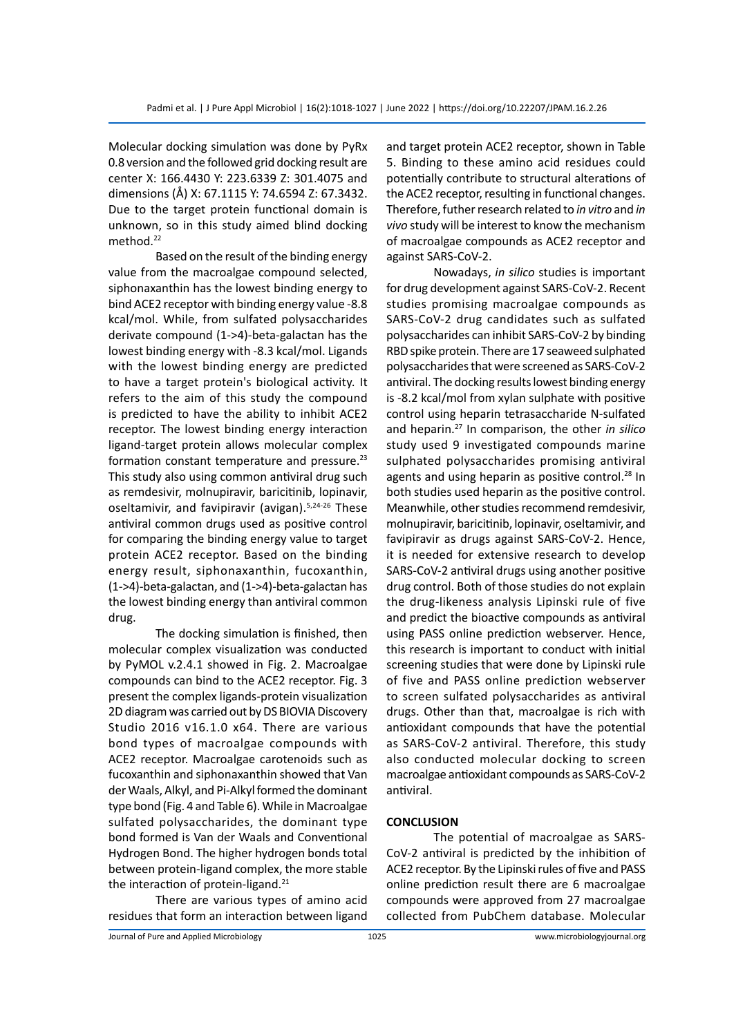Molecular docking simulation was done by PyRx 0.8 version and the followed grid docking result are center X: 166.4430 Y: 223.6339 Z: 301.4075 and dimensions (Å) X: 67.1115 Y: 74.6594 Z: 67.3432. Due to the target protein functional domain is unknown, so in this study aimed blind docking method.<sup>22</sup>

Based on the result of the binding energy value from the macroalgae compound selected, siphonaxanthin has the lowest binding energy to bind ACE2 receptor with binding energy value -8.8 kcal/mol. While, from sulfated polysaccharides derivate compound (1->4)-beta-galactan has the lowest binding energy with -8.3 kcal/mol. Ligands with the lowest binding energy are predicted to have a target protein's biological activity. It refers to the aim of this study the compound is predicted to have the ability to inhibit ACE2 receptor. The lowest binding energy interaction ligand-target protein allows molecular complex formation constant temperature and pressure.<sup>23</sup> This study also using common antiviral drug such as remdesivir, molnupiravir, baricitinib, lopinavir, oseltamivir, and favipiravir (avigan).<sup>5,24-26</sup> These antiviral common drugs used as positive control for comparing the binding energy value to target protein ACE2 receptor. Based on the binding energy result, siphonaxanthin, fucoxanthin, (1->4)-beta-galactan, and (1->4)-beta-galactan has the lowest binding energy than antiviral common drug.

The docking simulation is finished, then molecular complex visualization was conducted by PyMOL v.2.4.1 showed in Fig. 2. Macroalgae compounds can bind to the ACE2 receptor. Fig. 3 present the complex ligands-protein visualization 2D diagram was carried out by DS BIOVIA Discovery Studio 2016 v16.1.0 x64. There are various bond types of macroalgae compounds with ACE2 receptor. Macroalgae carotenoids such as fucoxanthin and siphonaxanthin showed that Van der Waals, Alkyl, and Pi-Alkyl formed the dominant type bond (Fig. 4 and Table 6). While in Macroalgae sulfated polysaccharides, the dominant type bond formed is Van der Waals and Conventional Hydrogen Bond. The higher hydrogen bonds total between protein-ligand complex, the more stable the interaction of protein-ligand.<sup>21</sup>

There are various types of amino acid residues that form an interaction between ligand and target protein ACE2 receptor, shown in Table 5. Binding to these amino acid residues could potentially contribute to structural alterations of the ACE2 receptor, resulting in functional changes. Therefore, futher research related to *in vitro* and *in vivo* study will be interest to know the mechanism of macroalgae compounds as ACE2 receptor and against SARS-CoV-2.

Nowadays, *in silico* studies is important for drug development against SARS-CoV-2. Recent studies promising macroalgae compounds as SARS-CoV-2 drug candidates such as sulfated polysaccharides can inhibit SARS-CoV-2 by binding RBD spike protein. There are 17 seaweed sulphated polysaccharides that were screened as SARS-CoV-2 antiviral. The docking results lowest binding energy is -8.2 kcal/mol from xylan sulphate with positive control using heparin tetrasaccharide N-sulfated and heparin.<sup>27</sup> In comparison, the other *in silico* study used 9 investigated compounds marine sulphated polysaccharides promising antiviral agents and using heparin as positive control.<sup>28</sup> In both studies used heparin as the positive control. Meanwhile, other studies recommend remdesivir, molnupiravir, baricitinib, lopinavir, oseltamivir, and favipiravir as drugs against SARS-CoV-2. Hence, it is needed for extensive research to develop SARS-CoV-2 antiviral drugs using another positive drug control. Both of those studies do not explain the drug-likeness analysis Lipinski rule of five and predict the bioactive compounds as antiviral using PASS online prediction webserver. Hence, this research is important to conduct with initial screening studies that were done by Lipinski rule of five and PASS online prediction webserver to screen sulfated polysaccharides as antiviral drugs. Other than that, macroalgae is rich with antioxidant compounds that have the potential as SARS-CoV-2 antiviral. Therefore, this study also conducted molecular docking to screen macroalgae antioxidant compounds as SARS-CoV-2 antiviral.

# **CONCLUSION**

The potential of macroalgae as SARS-CoV-2 antiviral is predicted by the inhibition of ACE2 receptor. By the Lipinski rules of five and PASS online prediction result there are 6 macroalgae compounds were approved from 27 macroalgae collected from PubChem database. Molecular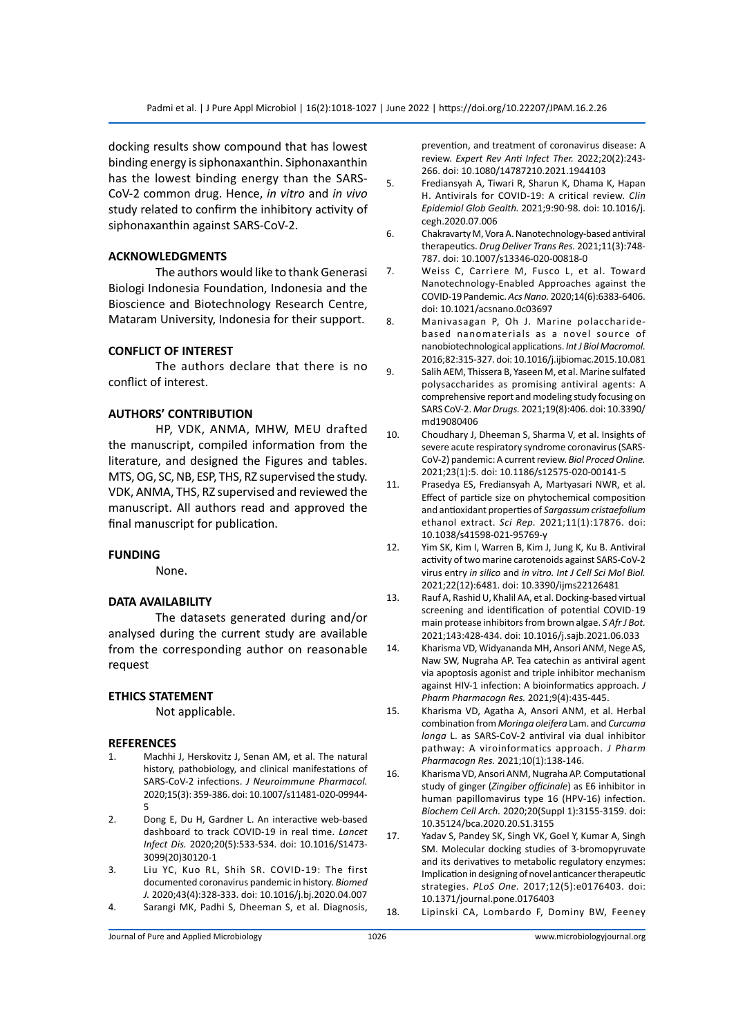docking results show compound that has lowest binding energy is siphonaxanthin. Siphonaxanthin has the lowest binding energy than the SARS-CoV-2 common drug. Hence, *in vitro* and *in vivo*  study related to confirm the inhibitory activity of siphonaxanthin against SARS-CoV-2.

## **ACKNOWLEDGMENTS**

The authors would like to thank Generasi Biologi Indonesia Foundation, Indonesia and the Bioscience and Biotechnology Research Centre, Mataram University, Indonesia for their support.

# **CONFLICT OF INTEREST**

The authors declare that there is no conflict of interest.

# **AUTHORS' CONTRIBUTION**

HP, VDK, ANMA, MHW, MEU drafted the manuscript, compiled information from the literature, and designed the Figures and tables. MTS, OG, SC, NB, ESP, THS, RZ supervised the study. VDK, ANMA, THS, RZ supervised and reviewed the manuscript. All authors read and approved the final manuscript for publication.

#### **FUNDING**

None.

# **DATA AVAILABILITY**

The datasets generated during and/or analysed during the current study are available from the corresponding author on reasonable request

# **ETHICS STATEMENT**

Not applicable.

## **REFERENCES**

- 1. Machhi J, Herskovitz J, Senan AM, et al. The natural history, pathobiology, and clinical manifestations of SARS-CoV-2 infections. *J Neuroimmune Pharmacol.*  2020;15(3): 359-386. doi: 10.1007/s11481-020-09944- 5
- 2. Dong E, Du H, Gardner L. An interactive web-based dashboard to track COVID-19 in real time. *Lancet Infect Dis.* 2020;20(5):533-534. doi: 10.1016/S1473- 3099(20)30120-1
- 3. Liu YC, Kuo RL, Shih SR. COVID-19: The first documented coronavirus pandemic in history. *Biomed J.* 2020;43(4):328-333. doi: 10.1016/j.bj.2020.04.007 4. Sarangi MK, Padhi S, Dheeman S, et al. Diagnosis,

prevention, and treatment of coronavirus disease: A review. *Expert Rev Anti Infect Ther.* 2022;20(2):243- 266. doi: 10.1080/14787210.2021.1944103

- 5. Frediansyah A, Tiwari R, Sharun K, Dhama K, Hapan H. Antivirals for COVID-19: A critical review. *Clin Epidemiol Glob Gealth.* 2021;9:90-98. doi: 10.1016/j. cegh.2020.07.006
- 6. Chakravarty M, Vora A. Nanotechnology-based antiviral therapeutics. *Drug Deliver Trans Res.* 2021;11(3):748- 787. doi: 10.1007/s13346-020-00818-0
- 7. Weiss C, Carriere M, Fusco L, et al. Toward Nanotechnology-Enabled Approaches against the COVID-19 Pandemic. *Acs Nano.* 2020;14(6):6383-6406. doi: 10.1021/acsnano.0c03697
- 8. Manivasagan P, Oh J. Marine polaccharidebased nanomaterials as a novel source of nanobiotechnological applications. *Int J Biol Macromol.* 2016;82:315-327. doi: 10.1016/j.ijbiomac.2015.10.081
- 9. Salih AEM, Thissera B, Yaseen M, et al. Marine sulfated polysaccharides as promising antiviral agents: A comprehensive report and modeling study focusing on SARS CoV-2. *Mar Drugs.* 2021;19(8):406. doi: 10.3390/ md19080406
- 10. Choudhary J, Dheeman S, Sharma V, et al. Insights of severe acute respiratory syndrome coronavirus (SARS-CoV-2) pandemic: A current review. *Biol Proced Online.*  2021;23(1):5. doi: 10.1186/s12575-020-00141-5
- 11. Prasedya ES, Frediansyah A, Martyasari NWR, et al. Effect of particle size on phytochemical composition and antioxidant properties of *Sargassum cristaefolium* ethanol extract. *Sci Rep.* 2021;11(1):17876. doi: 10.1038/s41598-021-95769-y
- 12. Yim SK, Kim I, Warren B, Kim J, Jung K, Ku B. Antiviral activity of two marine carotenoids against SARS-CoV-2 virus entry *in silico* and *in vitro. Int J Cell Sci Mol Biol.* 2021;22(12):6481. doi: 10.3390/ijms22126481
- 13. Rauf A, Rashid U, Khalil AA, et al. Docking-based virtual screening and identification of potential COVID-19 main protease inhibitors from brown algae. *S Afr J Bot.* 2021;143:428-434. doi: 10.1016/j.sajb.2021.06.033
- 14. Kharisma VD, Widyananda MH, Ansori ANM, Nege AS, Naw SW, Nugraha AP. Tea catechin as antiviral agent via apoptosis agonist and triple inhibitor mechanism against HIV-1 infection: A bioinformatics approach. *J Pharm Pharmacogn Res.* 2021;9(4):435-445.
- 15. Kharisma VD, Agatha A, Ansori ANM, et al. Herbal combination from *Moringa oleifera* Lam. and *Curcuma longa* L. as SARS-CoV-2 antiviral via dual inhibitor pathway: A viroinformatics approach. *J Pharm Pharmacogn Res.* 2021;10(1):138-146.
- 16. Kharisma VD, Ansori ANM, Nugraha AP. Computational study of ginger (*Zingiber officinale*) as E6 inhibitor in human papillomavirus type 16 (HPV-16) infection. *Biochem Cell Arch.* 2020;20(Suppl 1):3155-3159. doi: 10.35124/bca.2020.20.S1.3155
- 17. Yadav S, Pandey SK, Singh VK, Goel Y, Kumar A, Singh SM. Molecular docking studies of 3-bromopyruvate and its derivatives to metabolic regulatory enzymes: Implication in designing of novel anticancer therapeutic strategies. *PLoS One.* 2017;12(5):e0176403. doi: 10.1371/journal.pone.0176403
- 18. Lipinski CA, Lombardo F, Dominy BW, Feeney